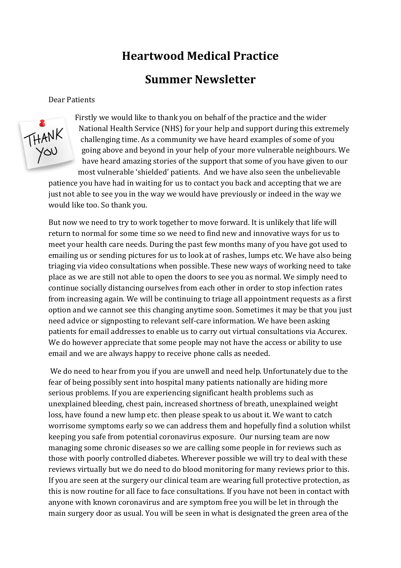# **Heartwood Medical Practice**

# **Summer Newsletter**

Dear Patients



Firstly we would like to thank you on behalf of the practice and the wider National Health Service (NHS) for your help and support during this extremely challenging time. As a community we have heard examples of some of you going above and beyond in your help of your more vulnerable neighbours. We have heard amazing stories of the support that some of you have given to our most vulnerable 'shielded' patients. And we have also seen the unbelievable

patience you have had in waiting for us to contact you back and accepting that we are just not able to see you in the way we would have previously or indeed in the way we would like too. So thank you.

But now we need to try to work together to move forward. It is unlikely that life will return to normal for some time so we need to find new and innovative ways for us to meet your health care needs. During the past few months many of you have got used to emailing us or sending pictures for us to look at of rashes, lumps etc. We have also being triaging via video consultations when possible. These new ways of working need to take place as we are still not able to open the doors to see you as normal. We simply need to continue socially distancing ourselves from each other in order to stop infection rates from increasing again. We will be continuing to triage all appointment requests as a first option and we cannot see this changing anytime soon. Sometimes it may be that you just need advice or signposting to relevant self-care information. We have been asking patients for email addresses to enable us to carry out virtual consultations via Accurex. We do however appreciate that some people may not have the access or ability to use email and we are always happy to receive phone calls as needed.

We do need to hear from you if you are unwell and need help. Unfortunately due to the fear of being possibly sent into hospital many patients nationally are hiding more serious problems. If you are experiencing significant health problems such as unexplained bleeding, chest pain, increased shortness of breath, unexplained weight loss, have found a new lump etc. then please speak to us about it. We want to catch worrisome symptoms early so we can address them and hopefully find a solution whilst keeping you safe from potential coronavirus exposure. Our nursing team are now managing some chronic diseases so we are calling some people in for reviews such as those with poorly controlled diabetes. Wherever possible we will try to deal with these reviews virtually but we do need to do blood monitoring for many reviews prior to this. If you are seen at the surgery our clinical team are wearing full protective protection, as this is now routine for all face to face consultations. If you have not been in contact with anyone with known coronavirus and are symptom free you will be let in through the main surgery door as usual. You will be seen in what is designated the green area of the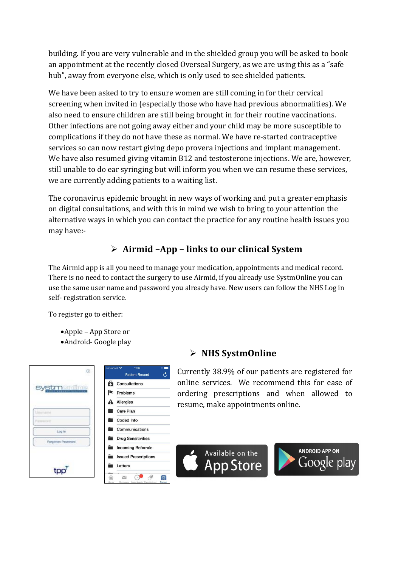building. If you are very vulnerable and in the shielded group you will be asked to book an appointment at the recently closed Overseal Surgery, as we are using this as a "safe hub", away from everyone else, which is only used to see shielded patients.

We have been asked to try to ensure women are still coming in for their cervical screening when invited in (especially those who have had previous abnormalities). We also need to ensure children are still being brought in for their routine vaccinations. Other infections are not going away either and your child may be more susceptible to complications if they do not have these as normal. We have re-started contraceptive services so can now restart giving depo provera injections and implant management. We have also resumed giving vitamin B12 and testosterone injections. We are, however, still unable to do ear syringing but will inform you when we can resume these services, we are currently adding patients to a waiting list.

The coronavirus epidemic brought in new ways of working and put a greater emphasis on digital consultations, and with this in mind we wish to bring to your attention the alternative ways in which you can contact the practice for any routine health issues you may have:-

## ➢ **Airmid –App – links to our clinical System**

The Airmid app is all you need to manage your medication, appointments and medical record. There is no need to contact the surgery to use Airmid, if you already use SystmOnline you can use the same user name and password you already have. New users can follow the NHS Log in self- registration service.

To register go to either:

- •Apple App Store or
- •Android- Google play

| ®                  | No Service 学<br>11:35       |
|--------------------|-----------------------------|
|                    | O<br><b>Patient Record</b>  |
|                    | A<br><b>Consultations</b>   |
|                    | <b>Problems</b><br>K        |
|                    | Allergies                   |
| <b>Chairmanna</b>  | <b>Care Plan</b>            |
| Password           | Coded Info                  |
| Log in             | Communications              |
| Forgotten Password | <b>Drug Sensitivities</b>   |
|                    | <b>Incoming Referrals</b>   |
|                    | <b>Issued Prescriptions</b> |
|                    | Letters                     |
|                    | ē                           |

### ➢ **NHS SystmOnline**

Currently 38.9% of our patients are registered for online services. We recommend this for ease of ordering prescriptions and when allowed to resume, make appointments online.



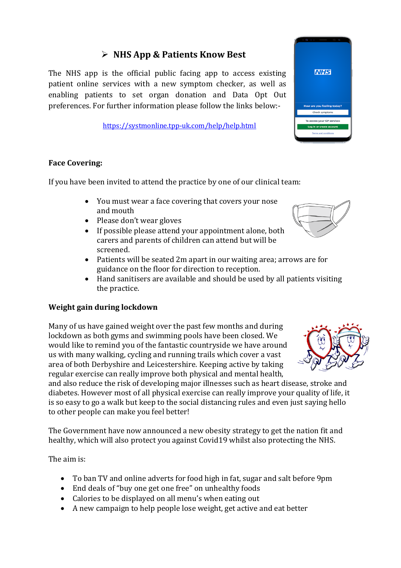### ➢ **NHS App & Patients Know Best**

The NHS app is the official public facing app to access existing patient online services with a new symptom checker, as well as enabling patients to set organ donation and Data Opt Out preferences. For further information please follow the links below:-

<https://systmonline.tpp-uk.com/help/help.html>

#### **Face Covering:**

If you have been invited to attend the practice by one of our clinical team:

- You must wear a face covering that covers your nose and mouth
- Please don't wear gloves
- If possible please attend your appointment alone, both carers and parents of children can attend but will be screened.
- Patients will be seated 2m apart in our waiting area; arrows are for guidance on the floor for direction to reception.
- Hand sanitisers are available and should be used by all patients visiting the practice.

#### **Weight gain during lockdown**

Many of us have gained weight over the past few months and during lockdown as both gyms and swimming pools have been closed. We would like to remind you of the fantastic countryside we have around us with many walking, cycling and running trails which cover a vast area of both Derbyshire and Leicestershire. Keeping active by taking regular exercise can really improve both physical and mental health,

and also reduce the risk of developing major illnesses such as heart disease, stroke and diabetes. However most of all physical exercise can really improve your quality of life, it is so easy to go a walk but keep to the social distancing rules and even just saying hello to other people can make you feel better!

The Government have now announced a new obesity strategy to get the nation fit and healthy, which will also protect you against Covid19 whilst also protecting the NHS.

The aim is:

- To ban TV and online adverts for food high in fat, sugar and salt before 9pm
- End deals of "buy one get one free" on unhealthy foods
- Calories to be displayed on all menu's when eating out
- A new campaign to help people lose weight, get active and eat better